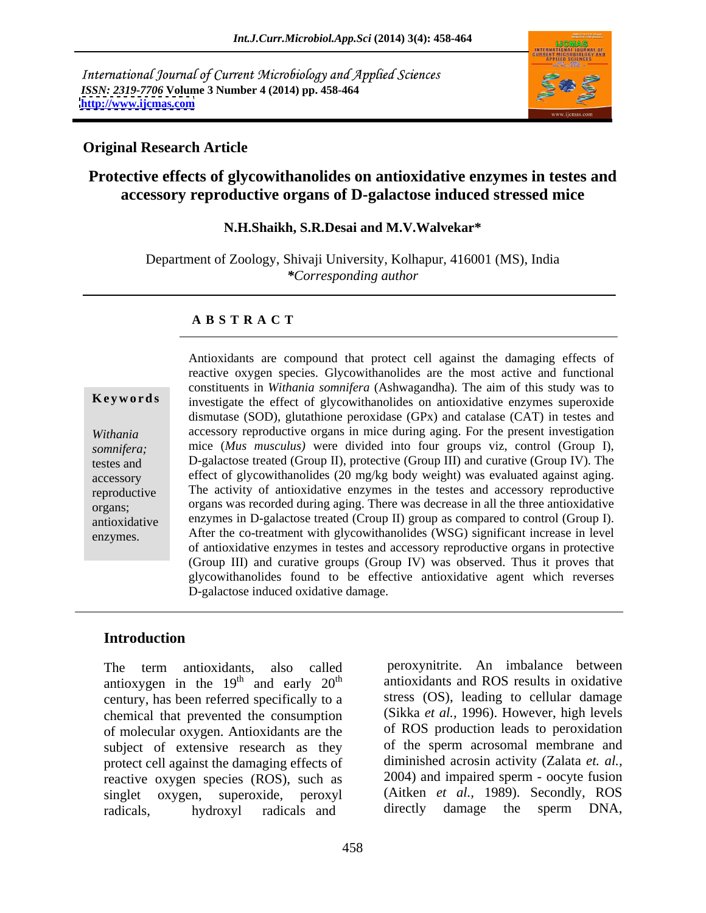International Journal of Current Microbiology and Applied Sciences *ISSN: 2319-7706* **Volume 3 Number 4 (2014) pp. 458-464 <http://www.ijcmas.com>**



## **Original Research Article**

# **Protective effects of glycowithanolides on antioxidative enzymes in testes and accessory reproductive organs of D-galactose induced stressed mice**

#### **N.H.Shaikh, S.R.Desai and M.V.Walvekar\***

Department of Zoology, Shivaji University, Kolhapur, 416001 (MS), India *\*Corresponding author* 

### **A B S T R A C T**

**Keywords** investigate the effect of glycowithanolides on antioxidative enzymes superoxide *Withania*  accessory reproductive organs in mice during aging. For the present investigation *somnifera;* mice (Mus musculus) were divided into four groups viz, control (Group I), somnifera; mice (*Mus musculus*) were divided into four groups viz, control (Group I), testes and D-galactose treated (Group II), protective (Group III) and curative (Group IV). The accessory effect of glycowithanolides (20 mg/kg body weight) was evaluated against aging. reproductive The activity of antioxidative enzymes in the testes and accessory reproductive organs; organs was recorded during aging. There was decrease in all the three antioxidative antioxidative enzymes in D-galactose treated (Croup II) group as compared to control (Group I). enzymes. After the co-treatment with glycowithanolides (WSG) significant increase in level Antioxidants are compound that protect cell against the damaging effects of reactive oxygen species. Glycowithanolides are the most active and functional constituents in *Withania somnifera* (Ashwagandha)*.* The aim of this study was to dismutase (SOD), glutathione peroxidase (GPx) and catalase (CAT) in testes and of antioxidative enzymes in testes and accessory reproductive organs in protective (Group III) and curative groups (Group IV) was observed. Thus it proves that glycowithanolides found to be effective antioxidative agent which reverses D-galactose induced oxidative damage.

### **Introduction**

The term antioxidants, also called peroxynitrite. An imbalance between antioxygen in the  $19<sup>th</sup>$  and early  $20<sup>th</sup>$ century, has been referred specifically to a chemical that prevented the consumption of molecular oxygen. Antioxidants are the subject of extensive research as they protect cell against the damaging effects of reactive oxygen species (ROS), such as singlet oxygen, superoxide, peroxyl (Aitken *et al.*, 1989). Secondly, ROS<br>radicals hydroxyl radicals and directly damage the sperm DNA, radicals, hydroxyl radicals and directly damage the sperm DNA,

 $\mu$  and early 20<sup>th</sup> antioxidants and ROS results in oxidative peroxynitrite. An imbalance between stress (OS), leading to cellular damage (Sikka *et al.,* 1996). However, high levels of ROS production leads to peroxidation of the sperm acrosomal membrane and diminished acrosin activity (Zalata *et. al.,* 2004) and impaired sperm - oocyte fusion (Aitken *et al.,* 1989). Secondly, ROS directly damage the sperm DNA,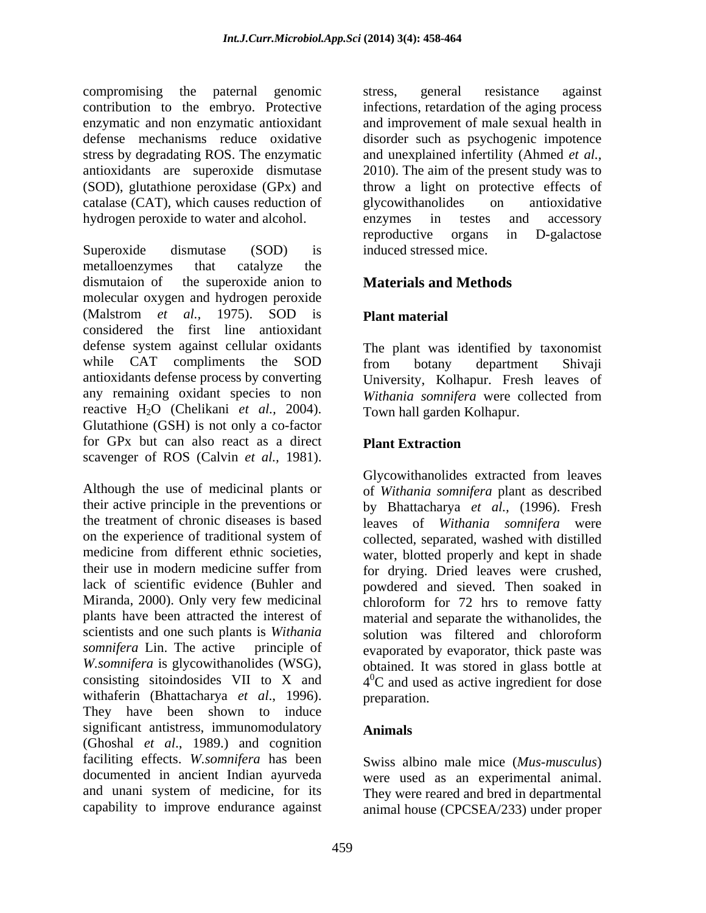compromising the paternal genomic contribution to the embryo. Protective infections, retardation of the aging process enzymatic and non enzymatic antioxidant defense mechanisms reduce oxidative disorder such as psychogenic impotence stress by degradating ROS. The enzymatic and unexplained infertility (Ahmed *et al.,* antioxidants are superoxide dismutase 2010). The aim of the present study was to (SOD), glutathione peroxidase (GPx) and throw a light on protective effects of catalase (CAT), which causes reduction of hydrogen peroxide to water and alcohol. enzymes in testes and accessory

Superoxide dismutase (SOD) is induced stressed mice. metalloenzymes that catalyze the dismutaion of the superoxide anion to **Materials and Methods** molecular oxygen and hydrogen peroxide (Malstrom *et al.,* 1975). SOD is considered the first line antioxidant defense system against cellular oxidants The plant was identified by taxonomist while CAT compliments the SOD from botany department Shivaji antioxidants defense process by converting University, Kolhapur. Fresh leaves of any remaining oxidant species to non Withania somnifera were collected from reactive H2O (Chelikani *et al.,* 2004). Glutathione (GSH) is not only a co-factor for GPx but can also react as a direct scavenger of ROS (Calvin *et al.,* 1981).

Although the use of medicinal plants or of *Withania somnifera* plant as described their active principle in the preventions or by Bhattacharya *et al.,* (1996). Fresh the treatment of chronic diseases is based leaves of *Withania somnifera* were on the experience of traditional system of collected, separated, washed with distilled medicine from different ethnic societies, water, blotted properly and kept in shade their use in modern medicine suffer from for drying. Dried leaves were crushed, lack of scientific evidence (Buhler and powdered and sieved. Then soaked in Miranda, 2000). Only very few medicinal chloroform for 72 hrs to remove fatty plants have been attracted the interest of material and separate the withanolides, the scientists and one such plants is *Withania* solution was filtered and chloroform *somnifera* Lin. The active principle of evaporated by evaporator, thick paste was W.somnifera is glycowithanolides (WSG), obtained. It was stored in glass bottle at consisting sitoindosides VII to X and  $4^{0}C$  and used as active ingredient for dose withaferin (Bhattacharya *et al*., 1996). They have been shown to induce significant antistress, immunomodulatory **Animals** (Ghoshal *et al*., 1989.) and cognition faciliting effects. *W.somnifera* has been documented in ancient Indian ayurveda were used as an experimental animal. and unani system of medicine, for its They were reared and bred in departmental

stress, general resistance against and improvement of male sexual health in glycowithanolides on antioxidative enzymes in testes and accessory reproductive organs in D-galactose induced stressed mice.

# **Materials and Methods**

## **Plant material**

from botany department Shivaji *Withania somnifera* were collected from Town hall garden Kolhapur.

## **Plant Extraction**

Glycowithanolides extracted from leaves solution was filtered and chloroform preparation.

# **Animals**

capability to improve endurance against animal house (CPCSEA/233) under properSwiss albino male mice (*Mus-musculus*)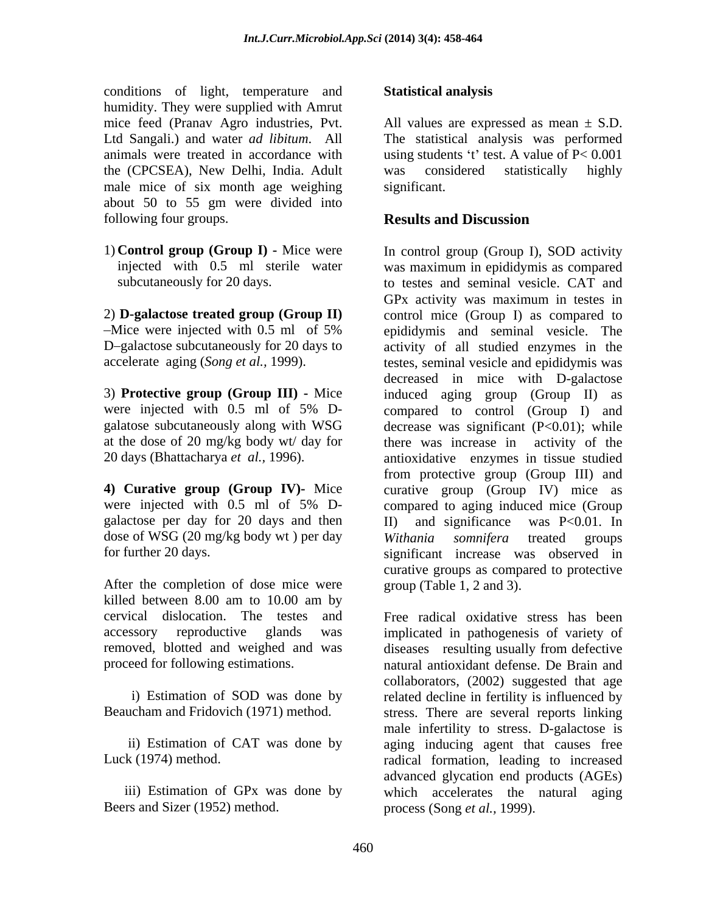conditions of light, temperature and **Statistical analysis** humidity. They were supplied with Amrut the (CPCSEA), New Delhi, India. Adult male mice of six month age weighing significant. about 50 to 55 gm were divided into following four groups. **Results and Discussion** 

at the dose of 20 mg/kg body wt/ day for

galactose per day for 20 days and then II) and significance was P<0.01. In dose of WSG (20 mg/kg body wt) per day *Withania somnifera* treated groups

After the completion of dose mice were killed between 8.00 am to 10.00 am by removed, blotted and weighed and was

Beers and Sizer (1952) method.

## **Statistical analysis**

mice feed (Pranav Agro industries, Pvt. All values are expressed as mean  $\pm$  S.D. Ltd Sangali.) and water *ad libitum*. All The statistical analysis was performed animals were treated in accordance with using students 't' test. A value of  $P < 0.001$ was considered statistically highly significant.

## **Results and Discussion**

1) **Control group (Group I) -** Mice were In control group (Group I), SOD activity injected with 0.5 ml sterile water was maximum in epididymis as compared subcutaneously for 20 days. to testes and seminal vesicle. CAT and 2) **D-galactose treated group (Group II)** control mice (Group I) as compared to Mice were injected with 0.5 ml of 5% epididymis and seminal vesicle. The D-galactose subcutaneously for 20 days to activity of all studied enzymes in the accelerate aging (*Song et al.,* 1999). testes, seminal vesicle and epididymis was 3) **Protective group (Group III) -** Mice induced aging group (Group II) as were injected with 0.5 ml of 5% D- compared to control (Group I) and galatose subcutaneously along with WSG decrease was significant (P<0.01); while 20 days (Bhattacharya *et al.,* 1996). antioxidative enzymes in tissue studied **4) Curative group (Group IV)-** Mice curative group (Group IV) mice as were injected with 0.5 ml of 5% D- compared to aging induced mice (Group for further 20 days. significant increase was observed in GPx activity was maximum in testes in decreased in mice with D-galactose there was increase in activity of the from protective group (Group III) and compared to aging induced mice (Group II) and significance was P<0.01. In *Withania somnifera* treated groups curative groups as compared to protective group (Table 1, 2 and 3).

cervical dislocation. The testes and Free radical oxidative stress has been accessory reproductive glands was implicated in pathogenesis of variety of proceed for following estimations. natural antioxidant defense. De Brain and i) Estimation of SOD was done by related decline in fertility is influenced by Beaucham and Fridovich (1971) method. stress. There are several reports linking ii) Estimation of CAT was done by aging inducing agent that causes free Luck (1974) method. radical formation, leading to increased iii) Estimation of GPx was done by which accelerates the natural aging diseases resulting usually from defective collaborators, (2002) suggested that age male infertility to stress. D-galactose is advanced glycation end products (AGEs) process (Song *et al.,* 1999).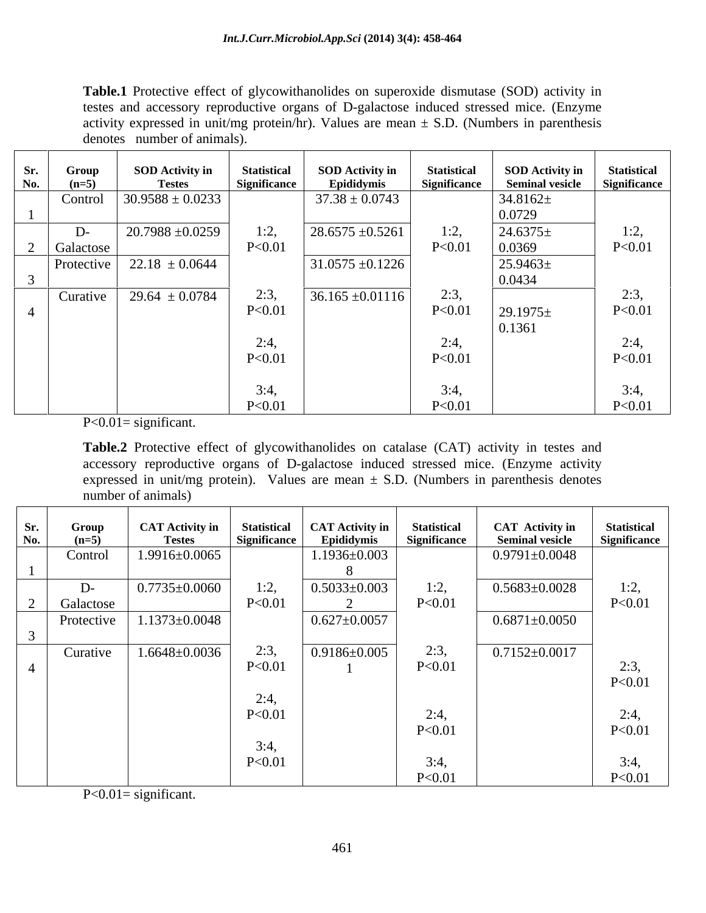**Table.1** Protective effect of glycowithanolides on superoxide dismutase (SOD) activity in testes and accessory reproductive organs of D-galactose induced stressed mice. (Enzyme activity expressed in unit/mg protein/hr). Values are mean  $\pm$  S.D. (Numbers in parenthesis denotes number of animals).

| Sr. | Group      | <b>SOD Activity in</b> | <b>Statistical</b>  | <b>SOD Activity in</b> | <b>Statistical</b>  | <b>SOD Activity in</b> | <b>Statistical</b> |
|-----|------------|------------------------|---------------------|------------------------|---------------------|------------------------|--------------------|
| No. | $(n=5)$    | <b>Testes</b>          | <b>Significance</b> | Epididymis             | <b>Significance</b> | <b>Seminal vesicle</b> | Significance       |
|     | Control    | $30.9588 \pm 0.0233$   |                     | $37.38 \pm 0.0743$     |                     | $34.8162 \pm$          |                    |
|     |            |                        |                     |                        |                     | 0.0729                 |                    |
|     | D-         | $20.7988 \pm 0.0259$   | 1:2,                | $28.6575 \pm 0.5261$   | 1:2,                | $24.6375\pm$           | 1:2,               |
|     | Galactose  |                        | P < 0.01            |                        | P<0.01              | 0.0369                 | P < 0.01           |
|     | Protective | $22.18 \pm 0.0644$     |                     | $31.0575 \pm 0.1226$   |                     | $25.9463\pm$           |                    |
|     |            |                        |                     |                        |                     | 0.0434                 |                    |
|     | Curative   | $29.64 \pm 0.0784$     | 2:3,                | $36.165 \pm 0.01116$   | 2:3,                |                        | 2:3,               |
|     |            |                        | P<0.01              |                        | P<0.01              | $29.1975\pm$           | P<0.01             |
|     |            |                        |                     |                        |                     | 0.1361                 |                    |
|     |            |                        | 2:4,                |                        | 2:4                 |                        | 2:4,               |
|     |            |                        | P<0.01              |                        | P<0.01              |                        | P < 0.01           |
|     |            |                        |                     |                        |                     |                        |                    |
|     |            |                        | 3:4,                |                        | 3:4,                |                        | 3:4,               |
|     |            |                        | P < 0.01            |                        | P<0.01              |                        | P < 0.01           |

 $P < 0.01 =$  significant.

**Table.2** Protective effect of glycowithanolides on catalase (CAT) activity in testes and accessory reproductive organs of D-galactose induced stressed mice. (Enzyme activity expressed in unit/mg protein). Values are mean  $\pm$  S.D. (Numbers in parenthesis denotes number of animals)

| Sr.<br>No. | Group<br>$(n=5)$  | <b>CAT Activity in</b><br><b>Testes</b> | <b>Statistical</b><br>Significance | CAT Activity in<br>Epididymis | <b>Statistical</b><br><b>Significance</b> | <b>CAT</b> Activity in<br><b>Seminal vesicle</b> | <b>Statistical</b><br><b>Significance</b> |
|------------|-------------------|-----------------------------------------|------------------------------------|-------------------------------|-------------------------------------------|--------------------------------------------------|-------------------------------------------|
|            | Control           | 1.9916±0.0065                           |                                    | $1.1936 \pm 0.003$            |                                           | $0.9791 \pm 0.0048$                              |                                           |
|            | $D-$<br>Galactose | $0.7735 \pm 0.0060$                     | 1:2,<br>P<0.01                     | $0.5033 \pm 0.003$            | 1:2,<br>P<0.01                            | $0.5683 \pm 0.0028$                              | 1:2,<br>P<0.01                            |
|            | Protective        | $1.1373 \pm 0.0048$                     |                                    | $0.627 \pm 0.0057$            |                                           | $0.6871 \pm 0.0050$                              |                                           |
|            | Curative          | $1.6648 \pm 0.0036$                     | 2:3,<br>P<0.01<br>2:4,<br>P<0.01   | $0.9186 \pm 0.005$            | 2:3,<br>P < 0.01<br>2:4,                  | $0.7152 \pm 0.0017$                              | 2:3,<br>P<0.01<br>2:4,                    |
|            |                   |                                         | 3:4,<br>P<0.01                     |                               | P<0.01<br>3:4,<br>P<0.01                  |                                                  | P<0.01<br>3:4,<br>P<0.01                  |

 $P < 0.01 =$  significant.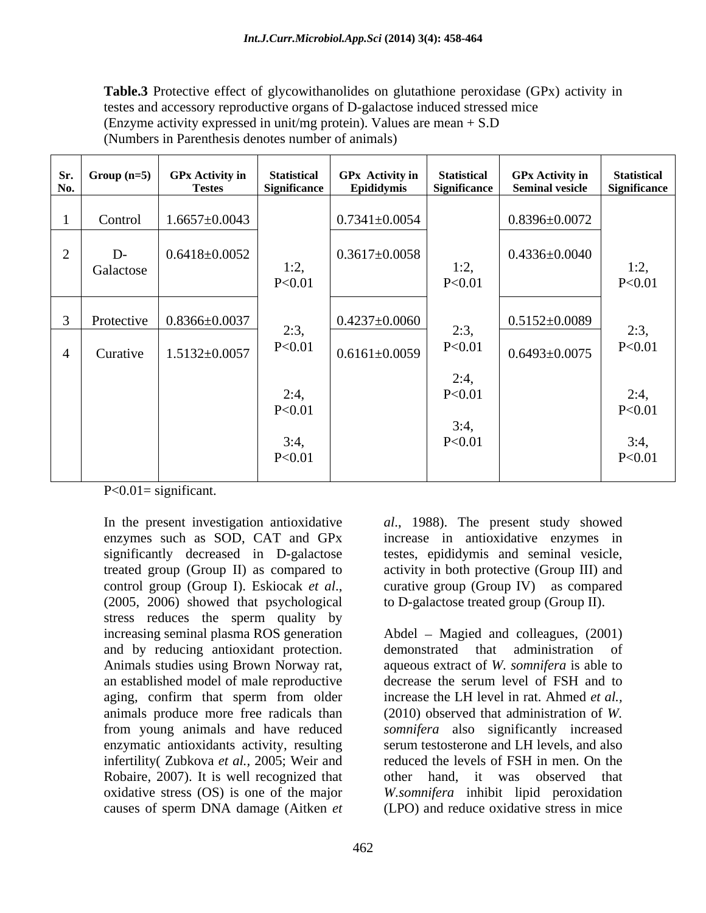**Table.3** Protective effect of glycowithanolides on glutathione peroxidase (GPx) activity in testes and accessory reproductive organs of D-galactose induced stressed mice (Enzyme activity expressed in unit/mg protein). Values are mean + S.D (Numbers in Parenthesis denotes number of animals)

| Sr.<br>No.               | Group $(n=5)$     | <b>GPx Activity in</b><br><b>Testes</b> | <b>Statistical</b><br><b>Significance</b> | $GPX$ Activity in<br>Epididymis | <b>Statistical</b><br>Significance | <b>GPx Activity in</b><br><b>Seminal vesicle</b> | <b>Statistical</b><br>Significance |
|--------------------------|-------------------|-----------------------------------------|-------------------------------------------|---------------------------------|------------------------------------|--------------------------------------------------|------------------------------------|
|                          | Control           | $1.6657 \pm 0.0043$                     |                                           | $0.7341 \pm 0.0054$             |                                    | $0.8396 \pm 0.0072$                              |                                    |
| $\sim$<br>$\overline{a}$ | $D-$<br>Galactose | $0.6418 \pm 0.0052$                     | 1:2,<br>P<0.01                            | $\vert 0.3617 \pm 0.0058 \vert$ | 1:2,<br>P < 0.01                   | $0.4336 \pm 0.0040$                              | 1:2,<br>P<0.01                     |
| $\bigcirc$               | Protective        | $0.8366 \pm 0.0037$                     | 2:3,                                      | $\vert 0.4237 \pm 0.0060 \vert$ | 2:3,                               | $0.5152 \pm 0.0089$                              | 2:3,                               |
| -4                       | Curative          | $1.5132 \pm 0.0057$                     | P<0.01                                    | $0.6161 \pm 0.0059$             | P<0.0<br>2:4,                      | $0.6493 \pm 0.0075$                              | P<0.01                             |
|                          |                   |                                         | 2:4,<br>P<0.01                            |                                 | P<0.0<br>3:4,                      |                                                  | 2:4,<br>P<0.01                     |
|                          |                   |                                         | 3:4,<br>P<0.01                            |                                 | P<0.0                              |                                                  | 3:4,<br>P<0.01                     |

 $P < 0.01 =$  significant.

In the present investigation antioxidative *al*., 1988). The present study showed enzymes such as SOD, CAT and GPx increase in antioxidative enzymes in significantly decreased in D-galactose testes, epididymis and seminal vesicle, treated group (Group II) as compared to activity in both protective (Group III) and control group (Group I). Eskiocak *et al*., curative group (Group IV) as compared (2005, 2006) showed that psychological to D-galactose treated group (Group II). stress reduces the sperm quality by increasing seminal plasma ROS generation Abdel – Magied and colleagues, (2001) and by reducing antioxidant protection. Animals studies using Brown Norway rat, aqueous extract of *W. somnifera* is able to an established model of male reproductive aging, confirm that sperm from older increase the LH level in rat. Ahmed et al., animals produce more free radicals than (2010) observed that administration of *W.*  from young animals and have reduced *somnifera* also significantly increased enzymatic antioxidants activity, resulting infertility( Zubkova *et al.,* 2005; Weir and Robaire, 2007). It is well recognized that oxidative stress (OS) is one of the major

curative group (Group IV) as compared to D-galactose treated group (Group II).

causes of sperm DNA damage (Aitken *et* (LPO) and reduce oxidative stress in mice demonstrated that administration decrease the serum level of FSH and to increase the LH level in rat. Ahmed *et al.,* serum testosterone and LH levels, and also reduced the levels of FSH in men. On the other hand, itwas observed that *W.somnifera* inhibit lipid peroxidation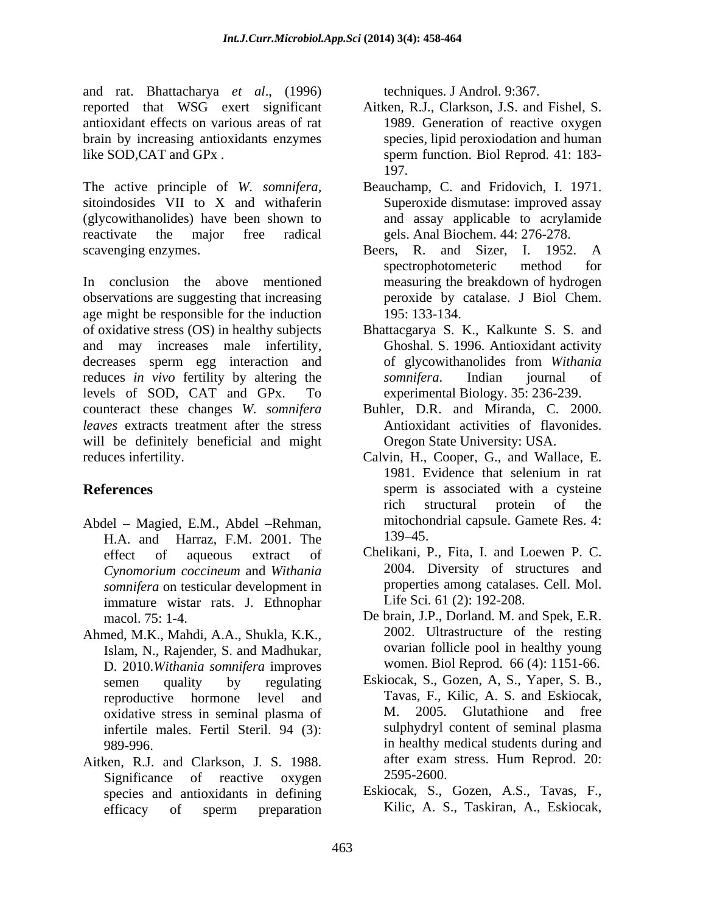and rat. Bhattacharya *et al*., (1996) reported that WSG exert significant Aitken, R.J., Clarkson, J.S. and Fishel, S. antioxidant effects on various areas of rat brain by increasing antioxidants enzymes like SOD, CAT and GPx . Sperm function. Biol Reprod. 41: 183-

The active principle of *W. somnifera,* Beauchamp, C. and Fridovich, I. 1971. sitoindosides VII to X and withaferin (glycowithanolides) have been shown to reactivate the major free radical gels. Anal Biochem. 44: 276-278. scavenging enzymes. Beers, R. and Sizer, I. 1952. A

In conclusion the above mentioned measuring the breakdown of hydrogen observations are suggesting that increasing age might be responsible for the induction 195: 133-134. of oxidative stress (OS) in healthy subjects Bhattacgarya S. K., Kalkunte S. S. and and may increases male infertility, decreases sperm egg interaction and of glycowithanolides from Withania reduces *in vivo* fertility by altering the *somnifera*. Indian journal of levels of SOD, CAT and GPx. To experimental Biology. 35: 236-239. counteract these changes *W. somnifera leaves* extracts treatment after the stress will be definitely beneficial and might reduces infertility. Calvin, H., Cooper, G., and Wallace, E.

- Abdel Magied, E.M., Abdel Rehman, mitochou<br>H A and Harraz EM 2001 The 139–45. H.A. and Harraz, F.M. 2001. The *Cynomorium coccineum* and *Withania somnifera* on testicular development in immature wistar rats. J. Ethnophar
- Ahmed, M.K., Mahdi, A.A., Shukla, K.K., Islam, N., Rajender, S. and Madhukar, D. 2010.*Withania somnifera* improves reproductive hormone level and Tav<br>oxidative stress in seminal plasma of M. oxidative stress in seminal plasma of infertile males. Fertil Steril. 94 (3):
- Significance of reactive oxygen efficacy of sperm preparation Kilic, A. S., Taskiran, A., Eskiocak,

techniques. J Androl. 9:367.

- 1989. Generation of reactive oxygen species, lipid peroxiodation and human sperm function. Biol Reprod. 41: 183- 197.
- Superoxide dismutase: improved assay and assay applicable to acrylamide
- spectrophotometeric method for peroxide by catalase. <sup>J</sup> Biol Chem. 195: 133-134.
- Ghoshal. S. 1996. Antioxidant activity of glycowithanolides from *Withania somnifera*. Indian journal of
- Buhler, D.R. and Miranda, C. 2000. Antioxidant activities of flavonides. Oregon State University: USA.
- **References** sperm is associated with a cysteine 1981. Evidence that selenium in rat rich structural protein of the mitochondrial capsule. Gamete Res. 4: 139 45.
	- effect of aqueous extract of Chelikani, P., Fita, I. and Loewen P. C. 2004. Diversity of structures and properties among catalases. Cell. Mol. Life Sci*.* 61 (2): 192-208.
	- macol. 75: 1-4. De brain, J.P., Dorland. M. and Spek, E.R. 2002. Ultrastructure of the resting ovarian follicle pool in healthy young women. Biol Reprod. 66 (4): 1151-66.
- semen quality by regulating Eskiocak, S., Gozen, A, S., Yaper, S. B., 989-996. in healthy medical students during and Aitken, R.J. and Clarkson, J. S. 1988. after exam stress. Hum Reprod. 20:<br>Significance of reactive oxygen 2595-2600. Tavas, F., Kilic, A. S. and Eskiocak, 2005. Glutathione and free sulphydryl content of seminal plasma after exam stress. Hum Reprod. 20: 2595-2600.
	- species and antioxidants in defining Eskiocak, S., Gozen, A.S., Tavas, F., Kilic, A. S., Taskiran, A., Eskiocak,